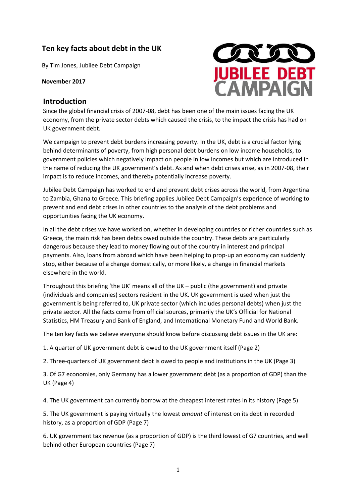# Ten key facts about debt in the UK

By Tim Jones, Jubilee Debt Campaign

November 2017



#### **Introduction**

Since the global financial crisis of 2007-08, debt has been one of the main issues facing the UK economy, from the private sector debts which caused the crisis, to the impact the crisis has had on UK government debt.

We campaign to prevent debt burdens increasing poverty. In the UK, debt is a crucial factor lying behind determinants of poverty, from high personal debt burdens on low income households, to government policies which negatively impact on people in low incomes but which are introduced in the name of reducing the UK government's debt. As and when debt crises arise, as in 2007-08, their impact is to reduce incomes, and thereby potentially increase poverty.

Jubilee Debt Campaign has worked to end and prevent debt crises across the world, from Argentina to Zambia, Ghana to Greece. This briefing applies Jubilee Debt Campaign's experience of working to prevent and end debt crises in other countries to the analysis of the debt problems and opportunities facing the UK economy.

In all the debt crises we have worked on, whether in developing countries or richer countries such as Greece, the main risk has been debts owed outside the country. These debts are particularly dangerous because they lead to money flowing out of the country in interest and principal payments. Also, loans from abroad which have been helping to prop-up an economy can suddenly stop, either because of a change domestically, or more likely, a change in financial markets elsewhere in the world.

Throughout this briefing 'the UK' means all of the UK - public (the government) and private (individuals and companies) sectors resident in the UK. UK government is used when just the government is being referred to, UK private sector (which includes personal debts) when just the private sector. All the facts come from official sources, primarily the UK's Official for National Statistics, HM Treasury and Bank of England, and International Monetary Fund and World Bank.

The ten key facts we believe everyone should know before discussing debt issues in the UK are:

1. A quarter of UK government debt is owed to the UK government itself (Page 2)

2. Three-quarters of UK government debt is owed to people and institutions in the UK (Page 3)

3. Of G7 economies, only Germany has a lower government debt (as a proportion of GDP) than the UK (Page 4)

4. The UK government can currently borrow at the cheapest interest rates in its history (Page 5)

5. The UK government is paying virtually the lowest *amount* of interest on its debt in recorded history, as a proportion of GDP (Page 7)

6. UK government tax revenue (as a proportion of GDP) is the third lowest of G7 countries, and well behind other European countries (Page 7)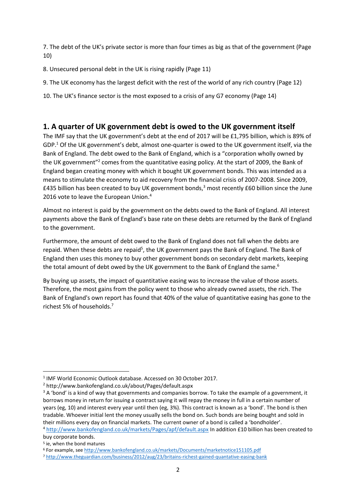7. The debt of the UK's private sector is more than four times as big as that of the government (Page 10)

8. Unsecured personal debt in the UK is rising rapidly (Page 11)

9. The UK economy has the largest deficit with the rest of the world of any rich country (Page 12)

10. The UK's finance sector is the most exposed to a crisis of any G7 economy (Page 14)

#### **1. A quarter of UK government debt is owed to the UK government itself**

The IMF say that the UK government's debt at the end of 2017 will be £1,795 billion, which is 89% of  $GDP<sup>1</sup>$  Of the UK government's debt, almost one-quarter is owed to the UK government itself, via the Bank of England. The debt owed to the Bank of England, which is a "corporation wholly owned by the UK government"<sup>2</sup> comes from the quantitative easing policy. At the start of 2009, the Bank of England began creating money with which it bought UK government bonds. This was intended as a means to stimulate the economy to aid recovery from the financial crisis of 2007-2008. Since 2009, £435 billion has been created to buy UK government bonds, $3$  most recently £60 billion since the June 2016 vote to leave the European Union.<sup>4</sup>

Almost no interest is paid by the government on the debts owed to the Bank of England. All interest payments above the Bank of England's base rate on these debts are returned by the Bank of England to the government.

Furthermore, the amount of debt owed to the Bank of England does not fall when the debts are repaid. When these debts are repaid<sup>5</sup>, the UK government pays the Bank of England. The Bank of England then uses this money to buy other government bonds on secondary debt markets, keeping the total amount of debt owed by the UK government to the Bank of England the same.<sup>6</sup>

By buying up assets, the impact of quantitative easing was to increase the value of those assets. Therefore, the most gains from the policy went to those who already owned assets, the rich. The Bank of England's own report has found that 40% of the value of quantitative easing has gone to the richest 5% of households.<sup>7</sup>

<sup>4</sup> <http://www.bankofengland.co.uk/markets/Pages/apf/default.aspx>In addition £10 billion has been created to buy corporate bonds.

<sup>&</sup>lt;sup>1</sup> IMF World Economic Outlook database. Accessed on 30 October 2017.

<sup>2</sup> http://www.bankofengland.co.uk/about/Pages/default.aspx

<sup>&</sup>lt;sup>3</sup> A 'bond' is a kind of way that governments and companies borrow. To take the example of a government, it borrows money in return for issuing a contract saying it will repay the money in full in a certain number of years (eg, 10) and interest every year until then (eg, 3%). This contract is known as a 'bond'. The bond is then tradable. Whoever initial lent the money usually sells the bond on. Such bonds are being bought and sold in their millions every day on financial markets. The current owner of a bond is called a 'bondholder'.

<sup>5</sup> ie, when the bond matures

<sup>6</sup> For example, see<http://www.bankofengland.co.uk/markets/Documents/marketnotice151105.pdf>

<sup>7</sup> <http://www.theguardian.com/business/2012/aug/23/britains-richest-gained-quantative-easing-bank>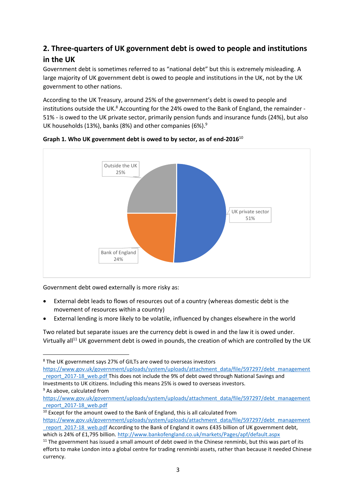# 2. Three-quarters of UK government debt is owed to people and institutions in the UK

Government debt is sometimes referred to as "national debt" but this is extremely misleading. A large majority of UK government debt is owed to people and institutions in the UK, not by the UK government to other nations.

According to the UK Treasury, around 25% of the government's debt is owed to people and institutions outside the UK.<sup>8</sup> Accounting for the 24% owed to the Bank of England, the remainder -51% - is owed to the UK private sector, primarily pension funds and insurance funds (24%), but also UK households (13%), banks (8%) and other companies (6%).<sup>9</sup>



Graph 1. Who UK government debt is owed to by sector, as of end-2016 $^{10}$ 

Government debt owed externally is more risky as:

- External debt leads to flows of resources out of a country (whereas domestic debt is the movement of resources within a country)
- External lending is more likely to be volatile, influenced by changes elsewhere in the world

Two related but separate issues are the currency debt is owed in and the law it is owed under. Virtually all<sup>11</sup> UK government debt is owed in pounds, the creation of which are controlled by the UK

<sup>&</sup>lt;sup>8</sup> The UK government says 27% of GILTs are owed to overseas investors

https://www.gov.uk/government/uploads/system/uploads/attachment\_data/file/597297/debt\_management report 2017-18 web.pdf This does not include the 9% of debt owed through National Savings and Investments to UK citizens. Including this means 25% is owed to overseas investors.

<sup>&</sup>lt;sup>9</sup> As above, calculated from

https://www.gov.uk/government/uploads/system/uploads/attachment\_data/file/597297/debt\_management report 2017-18 web.pdf

<sup>&</sup>lt;sup>10</sup> Except for the amount owed to the Bank of England, this is all calculated from https://www.gov.uk/government/uploads/system/uploads/attachment data/file/597297/debt management report 2017-18 web.pdf According to the Bank of England it owns £435 billion of UK government debt, which is 24% of £1,795 billion. http://www.bankofengland.co.uk/markets/Pages/apf/default.aspx

<sup>&</sup>lt;sup>11</sup> The government has issued a small amount of debt owed in the Chinese renminbi, but this was part of its efforts to make London into a global centre for trading renminbi assets, rather than because it needed Chinese currency.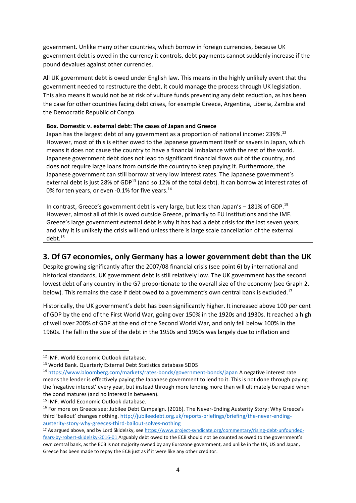government. Unlike many other countries, which borrow in foreign currencies, because UK government debt is owed in the currency it controls, debt payments cannot suddenly increase if the pound devalues against other currencies.

All UK government debt is owed under English law. This means in the highly unlikely event that the government needed to restructure the debt, it could manage the process through UK legislation. This also means it would not be at risk of vulture funds preventing any debt reduction, as has been the case for other countries facing debt crises, for example Greece, Argentina, Liberia, Zambia and the Democratic Republic of Congo.

#### Box. Domestic v. external debt: The cases of Japan and Greece

Japan has the largest debt of any government as a proportion of national income: 239%.<sup>12</sup> However, most of this is either owed to the Japanese government itself or savers in Japan, which means it does not cause the country to have a financial imbalance with the rest of the world. Japanese government debt does not lead to significant financial flows out of the country, and does not require large loans from outside the country to keep paying it. Furthermore, the Japanese government can still borrow at very low interest rates. The Japanese government's external debt is just 28% of GDP<sup>13</sup> (and so 12% of the total debt). It can borrow at interest rates of 0% for ten years, or even -0.1% for five years.<sup>14</sup>

In contrast, Greece's government debt is very large, but less than Japan's - 181% of GDP.<sup>15</sup> However, almost all of this is owed outside Greece, primarily to EU institutions and the IMF. Greece's large government external debt is why it has had a debt crisis for the last seven years, and why it is unlikely the crisis will end unless there is large scale cancellation of the external  $debt.<sup>16</sup>$ 

### 3. Of G7 economies, only Germany has a lower government debt than the UK

Despite growing significantly after the 2007/08 financial crisis (see point 6) by international and historical standards, UK government debt is still relatively low. The UK government has the second lowest debt of any country in the G7 proportionate to the overall size of the economy (see Graph 2. below). This remains the case if debt owed to a government's own central bank is excluded.<sup>17</sup>

Historically, the UK government's debt has been significantly higher. It increased above 100 per cent of GDP by the end of the First World War, going over 150% in the 1920s and 1930s. It reached a high of well over 200% of GDP at the end of the Second World War, and only fell below 100% in the 1960s. The fall in the size of the debt in the 1950s and 1960s was largely due to inflation and

<sup>&</sup>lt;sup>12</sup> IMF. World Economic Outlook database.

<sup>&</sup>lt;sup>13</sup> World Bank, Quarterly External Debt Statistics database SDDS

<sup>&</sup>lt;sup>14</sup> https://www.bloomberg.com/markets/rates-bonds/government-bonds/japan A negative interest rate means the lender is effectively paying the Japanese government to lend to it. This is not done through paying the 'negative interest' every year, but instead through more lending more than will ultimately be repaid when the bond matures (and no interest in between).

<sup>&</sup>lt;sup>15</sup> IMF. World Economic Outlook database.

<sup>&</sup>lt;sup>16</sup> For more on Greece see: Jubilee Debt Campaign. (2016). The Never-Ending Austerity Story: Why Greece's third 'bailout' changes nothing. http://jubileedebt.org.uk/reports-briefings/briefing/the-never-endingausterity-story-why-greeces-third-bailout-solves-nothing

<sup>&</sup>lt;sup>17</sup> As argued above, and by Lord Skidelsky, see https://www.project-syndicate.org/commentary/rising-debt-unfoundedfears-by-robert-skidelsky-2016-01 Arguably debt owed to the ECB should not be counted as owed to the government's own central bank, as the ECB is not majority owned by any Eurozone government, and unlike in the UK, US and Japan, Greece has been made to repay the ECB just as if it were like any other creditor.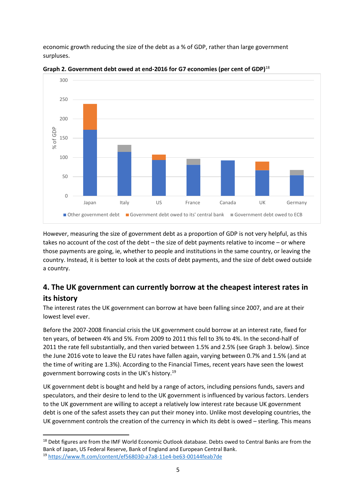economic growth reducing the size of the debt as a % of GDP, rather than large government surpluses.



**Graph 2. Government debt owed at end-2016 for G7 economies (per cent of GDP)**<sup>18</sup>

However, measuring the size of government debt as a proportion of GDP is not very helpful, as this takes no account of the cost of the debt – the size of debt payments relative to income – or where those payments are going, ie, whether to people and institutions in the same country, or leaving the country. Instead, it is better to look at the costs of debt payments, and the size of debt owed outside a country.

## **4. The UK government can currently borrow at the cheapest interest rates in its history**

The interest rates the UK government can borrow at have been falling since 2007, and are at their lowest level ever.

Before the 2007-2008 financial crisis the UK government could borrow at an interest rate, fixed for ten years, of between 4% and 5%. From 2009 to 2011 this fell to 3% to 4%. In the second-half of 2011 the rate fell substantially, and then varied between 1.5% and 2.5% (see Graph 3. below). Since the June 2016 vote to leave the EU rates have fallen again, varying between 0.7% and 1.5% (and at the time of writing are 1.3%). According to the Financial Times, recent years have seen the lowest government borrowing costs in the UK's history.<sup>19</sup>

UK government debt is bought and held by a range of actors, including pensions funds, savers and speculators, and their desire to lend to the UK government is influenced by various factors. Lenders to the UK government are willing to accept a relatively low interest rate because UK government debt is one of the safest assets they can put their money into. Unlike most developing countries, the UK government controls the creation of the currency in which its debt is owed – sterling. This means

<sup>&</sup>lt;sup>18</sup> Debt figures are from the IMF World Economic Outlook database. Debts owed to Central Banks are from the Bank of Japan, US Federal Reserve, Bank of England and European Central Bank. <sup>19</sup> <https://www.ft.com/content/ef568030-a7a8-11e4-be63-00144feab7de>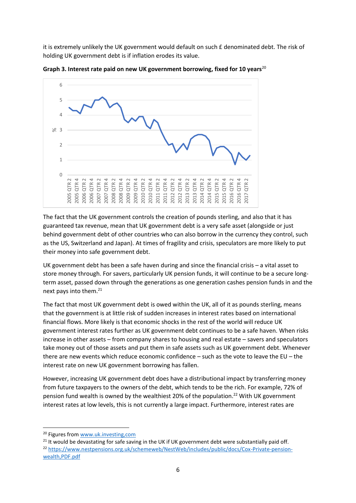it is extremely unlikely the UK government would default on such £ denominated debt. The risk of holding UK government debt is if inflation erodes its value.



**Graph 3. Interest rate paid on new UK government borrowing, fixed for 10 years**<sup>20</sup>

The fact that the UK government controls the creation of pounds sterling, and also that it has guaranteed tax revenue, mean that UK government debt is a very safe asset (alongside or just behind government debt of other countries who can also borrow in the currency they control, such as the US, Switzerland and Japan). At times of fragility and crisis, speculators are more likely to put their money into safe government debt.

UK government debt has been a safe haven during and since the financial crisis – a vital asset to store money through. For savers, particularly UK pension funds, it will continue to be a secure longterm asset, passed down through the generations as one generation cashes pension funds in and the next pays into them.<sup>21</sup>

The fact that most UK government debt is owed within the UK, all of it as pounds sterling, means that the government is at little risk of sudden increases in interest rates based on international financial flows. More likely is that economic shocks in the rest of the world will reduce UK government interest rates further as UK government debt continues to be a safe haven. When risks increase in other assets – from company shares to housing and real estate – savers and speculators take money out of those assets and put them in safe assets such as UK government debt. Whenever there are new events which reduce economic confidence – such as the vote to leave the EU – the interest rate on new UK government borrowing has fallen.

However, increasing UK government debt does have a distributional impact by transferring money from future taxpayers to the owners of the debt, which tends to be the rich. For example, 72% of pension fund wealth is owned by the wealthiest 20% of the population.<sup>22</sup> With UK government interest rates at low levels, this is not currently a large impact. Furthermore, interest rates are

<u>.</u>

<sup>21</sup> It would be devastating for safe saving in the UK if UK government debt were substantially paid off. <sup>22</sup> [https://www.nestpensions.org.uk/schemeweb/NestWeb/includes/public/docs/Cox-Private-pension](https://www.nestpensions.org.uk/schemeweb/NestWeb/includes/public/docs/Cox-Private-pension-wealth,PDF.pdf)[wealth,PDF.pdf](https://www.nestpensions.org.uk/schemeweb/NestWeb/includes/public/docs/Cox-Private-pension-wealth,PDF.pdf) 

<sup>&</sup>lt;sup>20</sup> Figures from www.uk.investing,com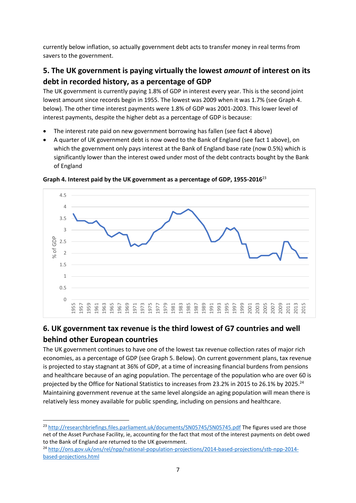currently below inflation, so actually government debt acts to transfer money in real terms from savers to the government.

# **5. The UK government is paying virtually the lowest** *amount* **of interest on its debt in recorded history, as a percentage of GDP**

The UK government is currently paying 1.8% of GDP in interest every year. This is the second joint lowest amount since records begin in 1955. The lowest was 2009 when it was 1.7% (see Graph 4. below). The other time interest payments were 1.8% of GDP was 2001-2003. This lower level of interest payments, despite the higher debt as a percentage of GDP is because:

- The interest rate paid on new government borrowing has fallen (see fact 4 above)
- A quarter of UK government debt is now owed to the Bank of England (see fact 1 above), on which the government only pays interest at the Bank of England base rate (now 0.5%) which is significantly lower than the interest owed under most of the debt contracts bought by the Bank of England



**Graph 4. Interest paid by the UK government as a percentage of GDP, 1955-2016** 23

# **6. UK government tax revenue is the third lowest of G7 countries and well behind other European countries**

The UK government continues to have one of the lowest tax revenue collection rates of major rich economies, as a percentage of GDP (see Graph 5. Below). On current government plans, tax revenue is projected to stay stagnant at 36% of GDP, at a time of increasing financial burdens from pensions and healthcare because of an aging population. The percentage of the population who are over 60 is projected by the Office for National Statistics to increases from 23.2% in 2015 to 26.1% by 2025.<sup>24</sup> Maintaining government revenue at the same level alongside an aging population will mean there is relatively less money available for public spending, including on pensions and healthcare.

<sup>&</sup>lt;sup>23</sup> <http://researchbriefings.files.parliament.uk/documents/SN05745/SN05745.pdf>The figures used are those net of the Asset Purchase Facility, ie, accounting for the fact that most of the interest payments on debt owed to the Bank of England are returned to the UK government.

<sup>24</sup> [http://ons.gov.uk/ons/rel/npp/national-population-projections/2014-based-projections/stb-npp-2014](http://ons.gov.uk/ons/rel/npp/national-population-projections/2014-based-projections/stb-npp-2014-based-projections.html) [based-projections.html](http://ons.gov.uk/ons/rel/npp/national-population-projections/2014-based-projections/stb-npp-2014-based-projections.html)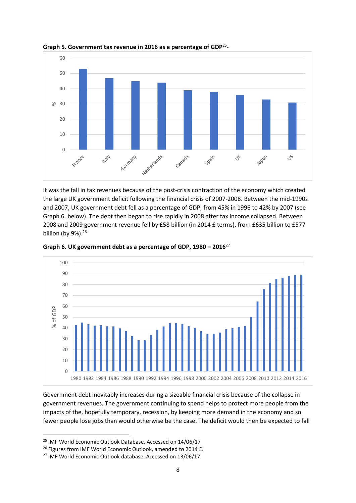

Graph 5. Government tax revenue in 2016 as a percentage of GDP<sup>25</sup>-

It was the fall in tax revenues because of the post-crisis contraction of the economy which created the large UK government deficit following the financial crisis of 2007-2008. Between the mid-1990s and 2007, UK government debt fell as a percentage of GDP, from 45% in 1996 to 42% by 2007 (see Graph 6. below). The debt then began to rise rapidly in 2008 after tax income collapsed. Between 2008 and 2009 government revenue fell by £58 billion (in 2014 £ terms), from £635 billion to £577 billion (by 9%).<sup>26</sup>



**Graph 6. UK government debt as a percentage of GDP, 1980 – 2016**<sup>27</sup>

Government debt inevitably increases during a sizeable financial crisis because of the collapse in government revenues. The government continuing to spend helps to protect more people from the impacts of the, hopefully temporary, recession, by keeping more demand in the economy and so fewer people lose jobs than would otherwise be the case. The deficit would then be expected to fall

<sup>&</sup>lt;sup>25</sup> IMF World Economic Outlook Database. Accessed on 14/06/17

<sup>&</sup>lt;sup>26</sup> Figures from IMF World Economic Outlook, amended to 2014 £.

<sup>&</sup>lt;sup>27</sup> IMF World Economic Outlook database. Accessed on 13/06/17.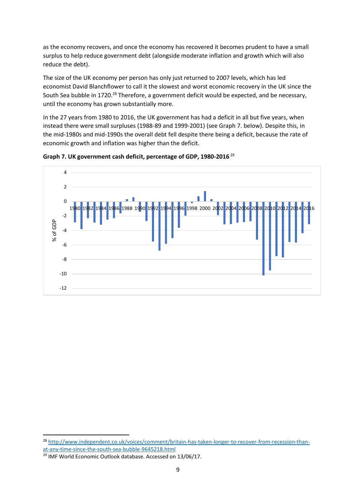as the economy recovers, and once the economy has recovered it becomes prudent to have a small surplus to help reduce government debt (alongside moderate inflation and growth which will also reduce the debt).

The size of the UK economy per person has only just returned to 2007 levels, which has led economist David Blanchflower to call it the slowest and worst economic recovery in the UK since the South Sea bubble in 1720.<sup>28</sup> Therefore, a government deficit would be expected, and be necessary, until the economy has grown substantially more.

In the 27 years from 1980 to 2016, the UK government has had a deficit in all but five years, when instead there were small surpluses (1988-89 and 1999-2001) (see Graph 7. below). Despite this, in the mid-1980s and mid-1990s the overall debt fell despite there being a deficit, because the rate of economic growth and inflation was higher than the deficit.





<sup>28</sup> [http://www.independent.co.uk/voices/comment/britain-has-taken-longer-to-recover-from-recession-than](http://www.independent.co.uk/voices/comment/britain-has-taken-longer-to-recover-from-recession-than-at-any-time-since-the-south-sea-bubble-9645218.html)[at-any-time-since-the-south-sea-bubble-9645218.html](http://www.independent.co.uk/voices/comment/britain-has-taken-longer-to-recover-from-recession-than-at-any-time-since-the-south-sea-bubble-9645218.html) 

<sup>&</sup>lt;sup>29</sup> IMF World Economic Outlook database. Accessed on 13/06/17.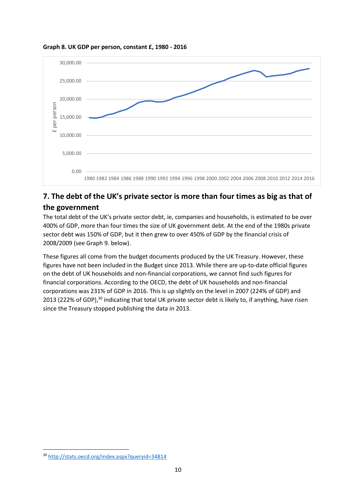

**Graph 8. UK GDP per person, constant £, 1980 - 2016**

# **7. The debt of the UK's private sector is more than four times as big as that of the government**

The total debt of the UK's private sector debt, ie, companies and households, is estimated to be over 400% of GDP, more than four times the size of UK government debt. At the end of the 1980s private sector debt was 150% of GDP, but it then grew to over 450% of GDP by the financial crisis of 2008/2009 (see Graph 9. below).

These figures all come from the budget documents produced by the UK Treasury. However, these figures have not been included in the Budget since 2013. While there are up-to-date official figures on the debt of UK households and non-financial corporations, we cannot find such figures for financial corporations. According to the OECD, the debt of UK households and non-financial corporations was 231% of GDP in 2016. This is up slightly on the level in 2007 (224% of GDP) and 2013 (222% of GDP),<sup>30</sup> indicating that total UK private sector debt is likely to, if anything, have risen since the Treasury stopped publishing the data in 2013.

<sup>30</sup> <http://stats.oecd.org/index.aspx?queryid=34814>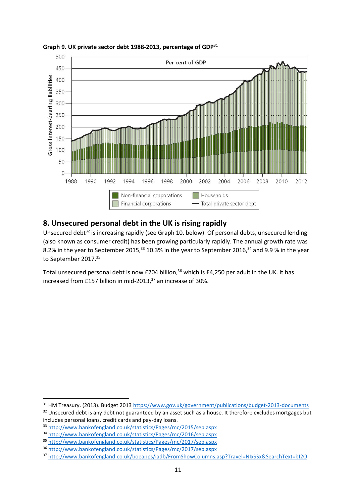

**Graph 9. UK private sector debt 1988-2013, percentage of GDP**<sup>31</sup>

#### **8. Unsecured personal debt in the UK is rising rapidly**

Unsecured debt<sup>32</sup> is increasing rapidly (see Graph 10. below). Of personal debts, unsecured lending (also known as consumer credit) has been growing particularly rapidly. The annual growth rate was 8.2% in the year to September 2015,  $33$  10.3% in the year to September 2016,  $34$  and 9.9 % in the year to September 2017.<sup>35</sup>

Total unsecured personal debt is now £204 billion,<sup>36</sup> which is £4,250 per adult in the UK. It has increased from £157 billion in mid-2013, $37$  an increase of 30%.

<u>.</u>

<sup>31</sup> HM Treasury. (2013). Budget 2013<https://www.gov.uk/government/publications/budget-2013-documents>

<sup>&</sup>lt;sup>32</sup> Unsecured debt is any debt not guaranteed by an asset such as a house. It therefore excludes mortgages but includes personal loans, credit cards and pay-day loans.

<sup>33</sup> <http://www.bankofengland.co.uk/statistics/Pages/mc/2015/sep.aspx>

<sup>34</sup> <http://www.bankofengland.co.uk/statistics/Pages/mc/2016/sep.aspx>

<sup>35</sup> <http://www.bankofengland.co.uk/statistics/Pages/mc/2017/sep.aspx>

<sup>36</sup> <http://www.bankofengland.co.uk/statistics/Pages/mc/2017/sep.aspx>

<sup>37</sup> <http://www.bankofengland.co.uk/boeapps/iadb/FromShowColumns.asp?Travel=NIxSSx&SearchText=bI2O>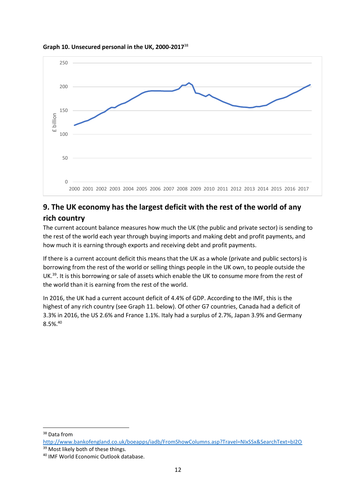

#### **Graph 10. Unsecured personal in the UK, 2000-2017**<sup>38</sup>

### **9. The UK economy has the largest deficit with the rest of the world of any rich country**

The current account balance measures how much the UK (the public and private sector) is sending to the rest of the world each year through buying imports and making debt and profit payments, and how much it is earning through exports and receiving debt and profit payments.

If there is a current account deficit this means that the UK as a whole (private and public sectors) is borrowing from the rest of the world or selling things people in the UK own, to people outside the UK.<sup>39</sup>. It is this borrowing or sale of assets which enable the UK to consume more from the rest of the world than it is earning from the rest of the world.

In 2016, the UK had a current account deficit of 4.4% of GDP. According to the IMF, this is the highest of any rich country (see Graph 11. below). Of other G7 countries, Canada had a deficit of 3.3% in 2016, the US 2.6% and France 1.1%. Italy had a surplus of 2.7%, Japan 3.9% and Germany 8.5%.<sup>40</sup>

<u>.</u>

<sup>&</sup>lt;sup>38</sup> Data from

<http://www.bankofengland.co.uk/boeapps/iadb/FromShowColumns.asp?Travel=NIxSSx&SearchText=bI2O> <sup>39</sup> Most likely both of these things.

<sup>40</sup> IMF World Economic Outlook database.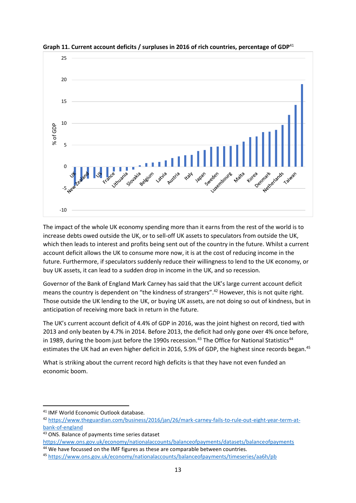

**Graph 11. Current account deficits / surpluses in 2016 of rich countries, percentage of GDP**<sup>41</sup>

The impact of the whole UK economy spending more than it earns from the rest of the world is to increase debts owed outside the UK, or to sell-off UK assets to speculators from outside the UK, which then leads to interest and profits being sent out of the country in the future. Whilst a current account deficit allows the UK to consume more now, it is at the cost of reducing income in the future. Furthermore, if speculators suddenly reduce their willingness to lend to the UK economy, or buy UK assets, it can lead to a sudden drop in income in the UK, and so recession.

Governor of the Bank of England Mark Carney has said that the UK's large current account deficit means the country is dependent on "the kindness of strangers".<sup>42</sup> However, this is not quite right. Those outside the UK lending to the UK, or buying UK assets, are not doing so out of kindness, but in anticipation of receiving more back in return in the future.

The UK's current account deficit of 4.4% of GDP in 2016, was the joint highest on record, tied with 2013 and only beaten by 4.7% in 2014. Before 2013, the deficit had only gone over 4% once before, in 1989, during the boom just before the 1990s recession.<sup>43</sup> The Office for National Statistics<sup>44</sup> estimates the UK had an even higher deficit in 2016, 5.9% of GDP, the highest since records began.<sup>45</sup>

What is striking about the current record high deficits is that they have not even funded an economic boom.

<sup>41</sup> IMF World Economic Outlook database.

<sup>42</sup> [https://www.theguardian.com/business/2016/jan/26/mark-carney-fails-to-rule-out-eight-year-term-at](https://www.theguardian.com/business/2016/jan/26/mark-carney-fails-to-rule-out-eight-year-term-at-bank-of-england)[bank-of-england](https://www.theguardian.com/business/2016/jan/26/mark-carney-fails-to-rule-out-eight-year-term-at-bank-of-england) 

<sup>43</sup> ONS. Balance of payments time series dataset

<https://www.ons.gov.uk/economy/nationalaccounts/balanceofpayments/datasets/balanceofpayments> <sup>44</sup> We have focussed on the IMF figures as these are comparable between countries.

<sup>45</sup> <https://www.ons.gov.uk/economy/nationalaccounts/balanceofpayments/timeseries/aa6h/pb>